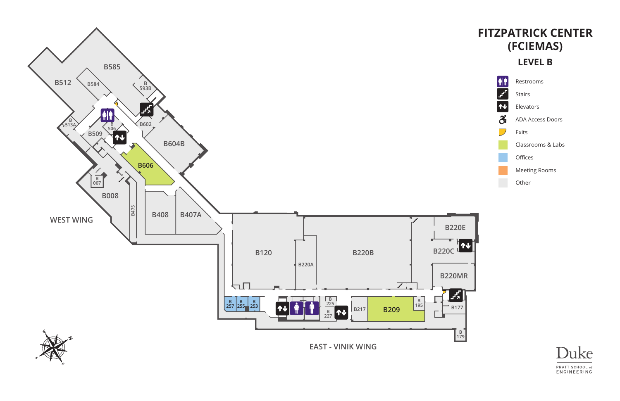

Restrooms

Stairs

Elevators

ADA Access Doors

Exits

Classrooms & Labs

Offices

Meeting Rooms

Other



# **FITZPATRICK CENTER (FCIEMAS)**

#### **LEVEL B**



ð

 $\overline{\phantom{a}}$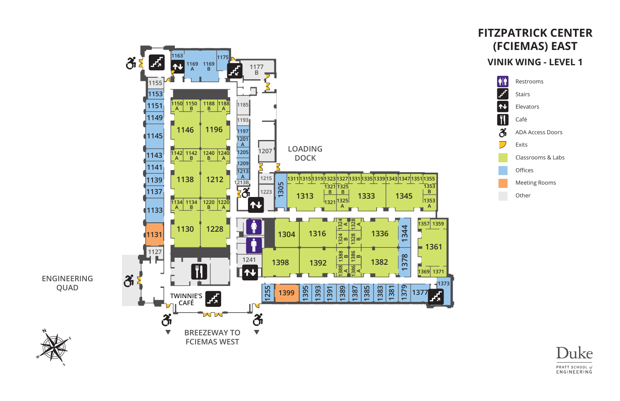

### **FITZPATRICK CENTER (FCIEMAS) EAST VINIK WING - LEVEL 1**

| <b>AT</b>          | Restrooms            |
|--------------------|----------------------|
|                    | Stairs               |
|                    | Elevators            |
| $\hat{\mathbf{q}}$ | Café                 |
|                    | ADA Access Doors     |
|                    | Fxits                |
|                    | Classrooms & Labs    |
|                    | Offices              |
|                    | <b>Meeting Rooms</b> |
|                    |                      |

Other

Duke PRATT SCHOOL of ENGINEERING

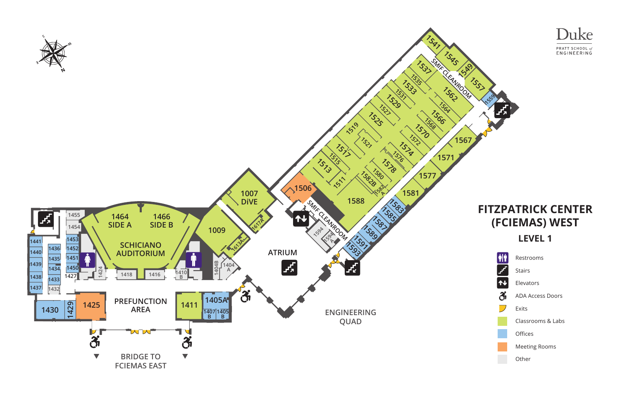



Restrooms

Stairs

Elevators

ADA Access Doors

Exits

Classrooms & Labs

Offices

Meeting Rooms

Other

## **FITZPATRICK CENTER (FCIEMAS) WEST LEVEL 1**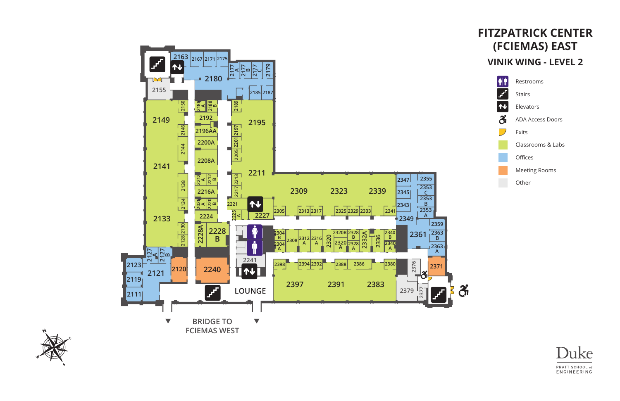



### **FITZPATRICK CENTER (FCIEMAS) EAST VINIK WING - LEVEL 2**

| <b>AIT</b> | Restro        |
|------------|---------------|
| <b>Fa</b>  | <b>Stairs</b> |
| 仆          | Elevat        |
| Ã          | ADA A         |
|            | Exits         |
|            | Classr        |
|            | Office        |
|            | Meeti         |

rooms

tors

**Access Doors** 

rooms & Labs

es

ting Rooms

Other

 $\mathbf{\hat{S}}$ 

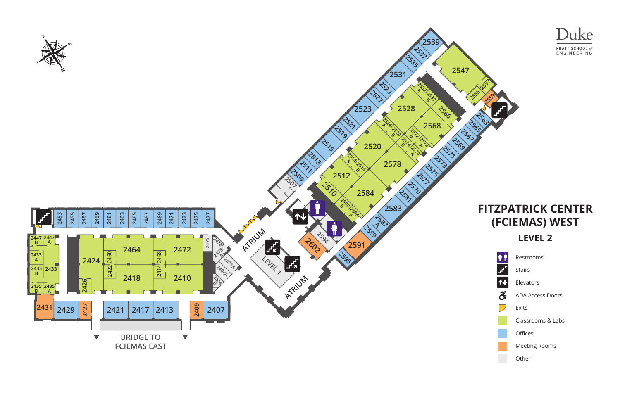



Restrooms

Stairs

Elevators

ADA Access Doors

Exits

Classrooms & Labs

Offices

Meeting Rooms

Other

# **FITZPATRICK CENTER (FCIEMAS) WEST LEVEL 2**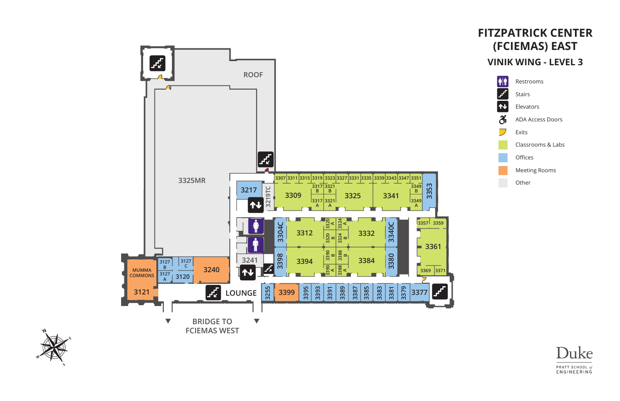



### **FITZPATRICK CENTER (FCIEMAS) EAST VINIK WING - LEVEL 3**

| <b>AT</b> | Restrooms            |
|-----------|----------------------|
|           | Stairs               |
|           | Elevators            |
|           | ADA Access Doors     |
|           | <b>Exits</b>         |
|           | Classrooms & Labs    |
|           | Offices              |
|           | <b>Meeting Rooms</b> |
|           | Other                |